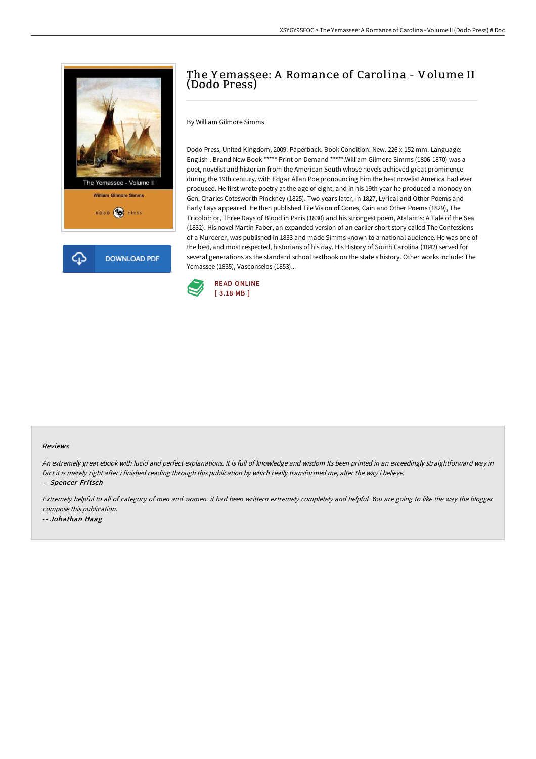

## The Y emassee: A Romance of Carolina - Volume II (Dodo Press)

By William Gilmore Simms

Dodo Press, United Kingdom, 2009. Paperback. Book Condition: New. 226 x 152 mm. Language: English . Brand New Book \*\*\*\*\* Print on Demand \*\*\*\*\*.William Gilmore Simms (1806-1870) was a poet, novelist and historian from the American South whose novels achieved great prominence during the 19th century, with Edgar Allan Poe pronouncing him the best novelist America had ever produced. He first wrote poetry at the age of eight, and in his 19th year he produced a monody on Gen. Charles Cotesworth Pinckney (1825). Two years later, in 1827, Lyrical and Other Poems and Early Lays appeared. He then published Tile Vision of Cones, Cain and Other Poems (1829), The Tricolor; or, Three Days of Blood in Paris (1830) and his strongest poem, Atalantis: A Tale of the Sea (1832). His novel Martin Faber, an expanded version of an earlier short story called The Confessions of a Murderer, was published in 1833 and made Simms known to a national audience. He was one of the best, and most respected, historians of his day. His History of South Carolina (1842) served for several generations as the standard school textbook on the state s history. Other works include: The Yemassee (1835), Vasconselos (1853)...



#### Reviews

An extremely great ebook with lucid and perfect explanations. It is full of knowledge and wisdom Its been printed in an exceedingly straightforward way in fact it is merely right after i finished reading through this publication by which really transformed me, alter the way i believe. -- Spencer Fritsch

Extremely helpful to all of category of men and women. it had been writtern extremely completely and helpful. You are going to like the way the blogger compose this publication. -- Johathan Haag